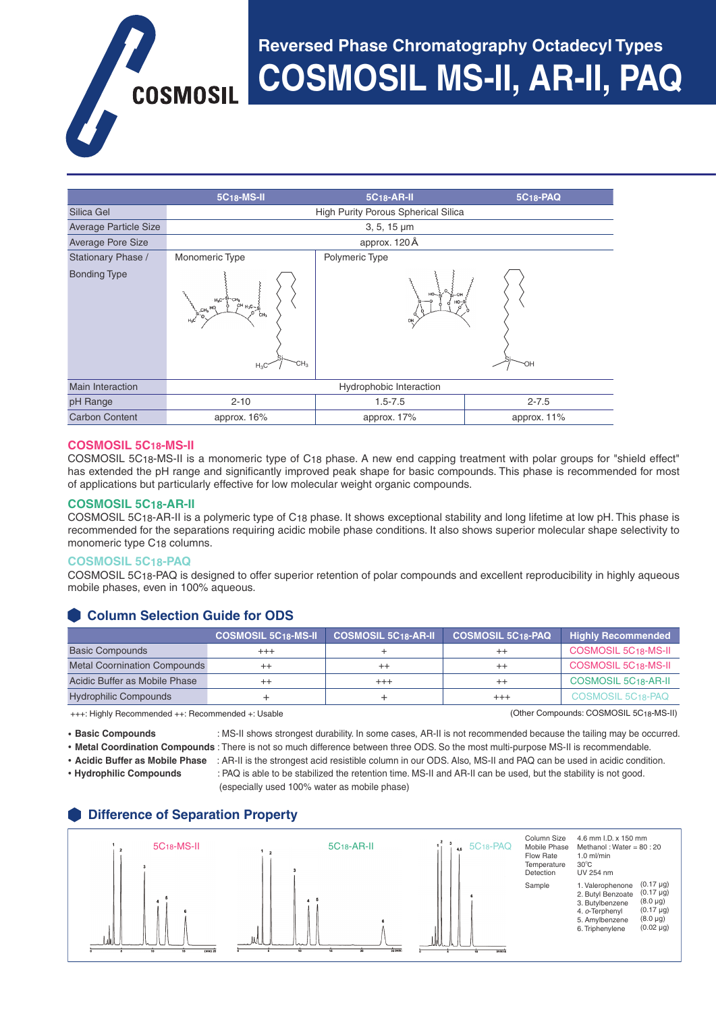# **Reversed Phase Chromatography Octadecyl Types**

**COSMOSIL MS-II, AR-II, PAQ COSMOSIL** 

|                          | 5C <sub>18</sub> -MS-II                                                                                             | 5C <sub>18</sub> -AR-II | 5C <sub>18</sub> -PAQ |  |
|--------------------------|---------------------------------------------------------------------------------------------------------------------|-------------------------|-----------------------|--|
| Silica Gel               | <b>High Purity Porous Spherical Silica</b>                                                                          |                         |                       |  |
| Average Particle Size    | $3, 5, 15 \mu m$                                                                                                    |                         |                       |  |
| <b>Average Pore Size</b> | approx. 120Å                                                                                                        |                         |                       |  |
| Stationary Phase /       | Monomeric Type<br>Polymeric Type                                                                                    |                         |                       |  |
| <b>Bonding Type</b>      | $H_3C^{-8}$<br>$OH_{H_3C \sim Si}$<br>HQ<br>$\sin_{0}^{CH_3}$<br>CH <sub>3</sub><br>HO<br>CH <sub>3</sub><br>$H_3C$ | OH                      | ЮH                    |  |
| <b>Main Interaction</b>  | Hydrophobic Interaction                                                                                             |                         |                       |  |
| pH Range                 | $2 - 10$                                                                                                            | $1.5 - 7.5$             | $2 - 7.5$             |  |
| <b>Carbon Content</b>    | approx. 16%                                                                                                         | approx. 17%             | approx. 11%           |  |

#### **COSMOSIL 5C18-MS-II**

COSMOSIL 5C18-MS-II is a monomeric type of C18 phase. A new end capping treatment with polar groups for "shield effect" has extended the pH range and significantly improved peak shape for basic compounds. This phase is recommended for most of applications but particularly effective for low molecular weight organic compounds.

#### **COSMOSIL 5C18-AR-II**

COSMOSIL 5C18-AR-II is a polymeric type of C18 phase. It shows exceptional stability and long lifetime at low pH. This phase is recommended for the separations requiring acidic mobile phase conditions. It also shows superior molecular shape selectivity to monomeric type C18 columns.

#### **COSMOSIL 5C18-PAQ**

COSMOSIL 5C18-PAQ is designed to offer superior retention of polar compounds and excellent reproducibility in highly aqueous mobile phases, even in 100% aqueous.

# **Column Selection Guide for ODS**

|                                     | <b>COSMOSIL 5C18-MS-II</b> | <b>COSMOSIL 5C18-AR-II</b> | <b>COSMOSIL 5C18-PAQ</b> | <b>Highly Recommended</b>        |
|-------------------------------------|----------------------------|----------------------------|--------------------------|----------------------------------|
| <b>Basic Compounds</b>              | $^{+++}$                   |                            |                          | <b>COSMOSIL 5C18-MS-II</b>       |
| <b>Metal Coornination Compounds</b> | $^{++}$                    | $^{++}$                    |                          | COSMOSIL 5C <sub>18</sub> -MS-II |
| Acidic Buffer as Mobile Phase       | $^{++}$                    | $^{+++}$                   | $^{++}$                  | COSMOSIL 5C <sub>18</sub> -AR-II |
| <b>Hydrophilic Compounds</b>        |                            |                            | $^{+++}$                 | COSMOSIL 5C18-PAQ                |

+++: Highly Recommended ++: Recommended +: Usable (Other Compounds: COSMOSIL 5C18-MS-II)

• **Basic Compounds** : MS-II shows strongest durability. In some cases, AR-II is not recommended because the tailing may be occurred.

• **Metal Coordination Compounds** : There is not so much difference between three ODS. So the most multi-purpose MS-II is recommendable.

- 
- **Acidic Buffer as Mobile Phase** : AR-II is the strongest acid resistible column in our ODS. Also, MS-II and PAQ can be used in acidic condition. • **Hydrophilic Compounds** : PAQ is able to be stabilized the retention time. MS-II and AR-II can be used, but the stability is not good. (especially used 100% water as mobile phase)

# **Difference of Separation Property**

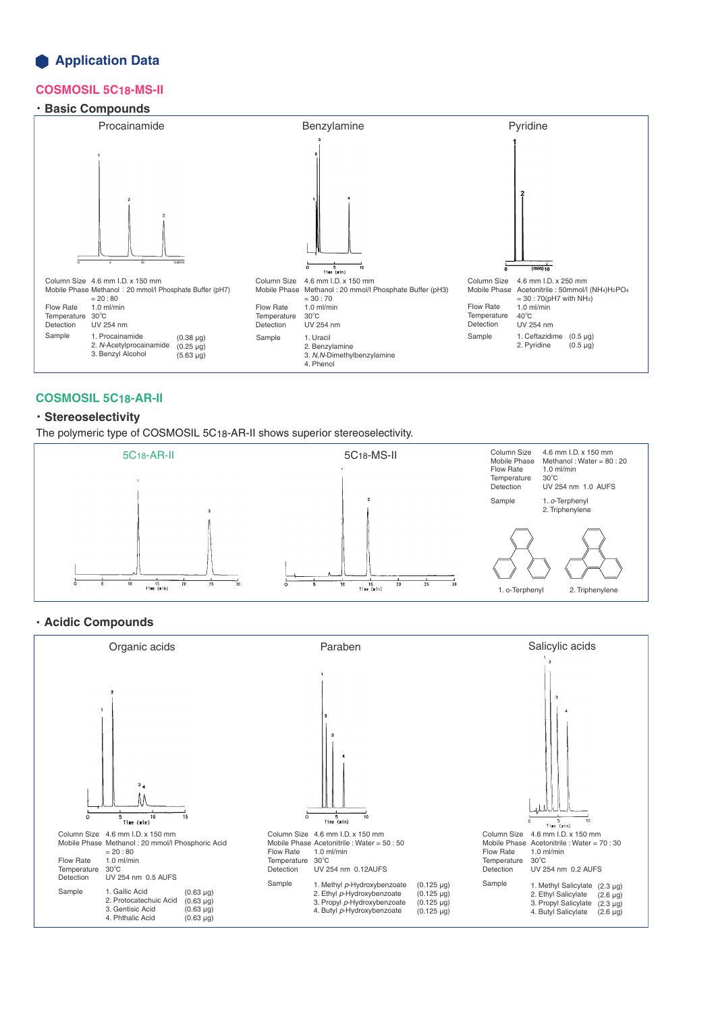# **Application Data**

# **COSMOSIL 5C18-MS-II**

#### ・**Basic Compounds**



# **COSMOSIL 5C18-AR-II**

# ・**Stereoselectivity**

The polymeric type of COSMOSIL 5C18-AR-II shows superior stereoselectivity.



#### ・**Acidic Compounds**

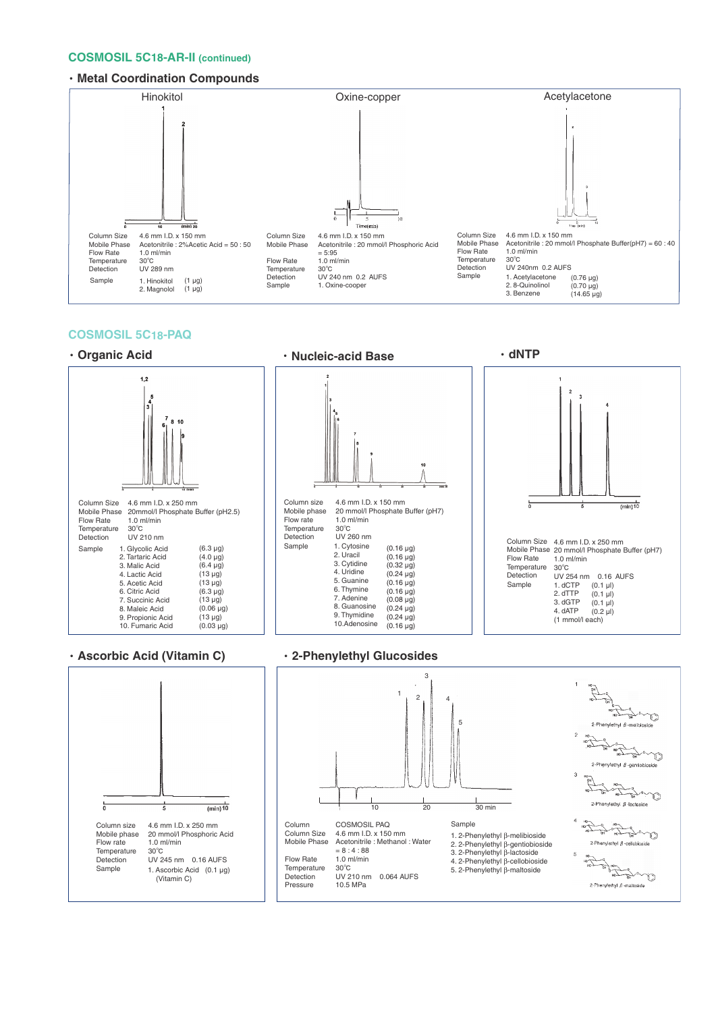#### **COSMOSIL 5C18-AR-II (continued)**

#### ・**Metal Coordination Compounds**



#### **COSMOSIL 5C18-PAQ**



#### ・**Ascorbic Acid (Vitamin C)** ・**2-Phenylethyl Glucosides**